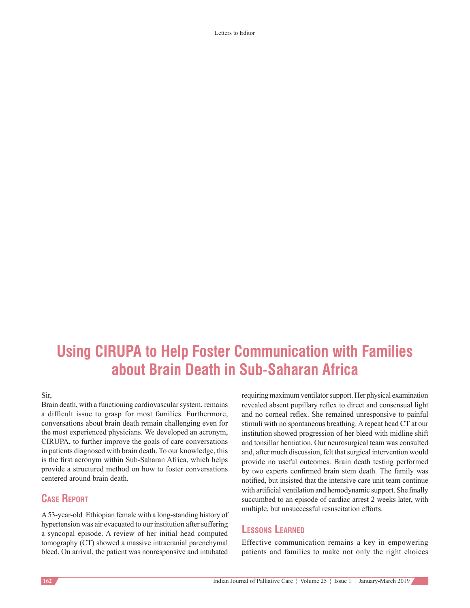Letters to Editor

# **Using CIRUPA to Help Foster Communication with Families about Brain Death in Sub‑Saharan Africa**

### Sir,

Brain death, with a functioning cardiovascular system, remains a difficult issue to grasp for most families. Furthermore, conversations about brain death remain challenging even for the most experienced physicians. We developed an acronym, CIRUPA, to further improve the goals of care conversations in patients diagnosed with brain death. To our knowledge, this is the first acronym within Sub-Saharan Africa, which helps provide a structured method on how to foster conversations centered around brain death.

## **Case Report**

A53-year-old Ethiopian female with a long-standing history of hypertension was air evacuated to our institution after suffering a syncopal episode. A review of her initial head computed tomography (CT) showed a massive intracranial parenchymal bleed. On arrival, the patient was nonresponsive and intubated

requiring maximum ventilator support. Her physical examination revealed absent pupillary reflex to direct and consensual light and no corneal reflex. She remained unresponsive to painful stimuli with no spontaneous breathing. Arepeat head CT at our institution showed progression of her bleed with midline shift and tonsillar herniation. Our neurosurgical team was consulted and, after much discussion, felt that surgical intervention would provide no useful outcomes. Brain death testing performed by two experts confirmed brain stem death. The family was notified, but insisted that the intensive care unit team continue with artificial ventilation and hemodynamic support. She finally succumbed to an episode of cardiac arrest 2 weeks later, with multiple, but unsuccessful resuscitation efforts.

## **Lessons Learned**

Effective communication remains a key in empowering patients and families to make not only the right choices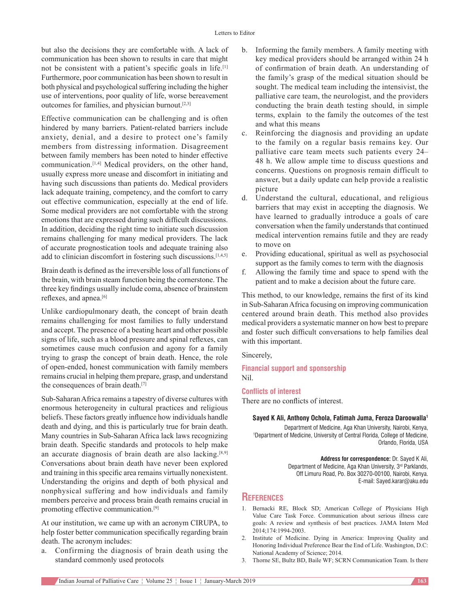but also the decisions they are comfortable with. A lack of communication has been shown to results in care that might not be consistent with a patient's specific goals in life.<sup>[1]</sup> Furthermore, poor communication has been shown to result in both physical and psychological suffering including the higher use of interventions, poor quality of life, worse bereavement outcomes for families, and physician burnout.[2,3]

Effective communication can be challenging and is often hindered by many barriers. Patient-related barriers include anxiety, denial, and a desire to protect one's family members from distressing information. Disagreement between family members has been noted to hinder effective communication.[1,4] Medical providers, on the other hand, usually express more unease and discomfort in initiating and having such discussions than patients do. Medical providers lack adequate training, competency, and the comfort to carry out effective communication, especially at the end of life. Some medical providers are not comfortable with the strong emotions that are expressed during such difficult discussions. In addition, deciding the right time to initiate such discussion remains challenging for many medical providers. The lack of accurate prognostication tools and adequate training also add to clinician discomfort in fostering such discussions.<sup>[1,4,5]</sup>

Brain death is defined asthe irreversible loss of all functions of the brain, with brain steam function being the cornerstone. The three key findings usually include coma, absence of brainstem reflexes, and apnea.<sup>[6]</sup>

Unlike cardiopulmonary death, the concept of brain death remains challenging for most families to fully understand and accept. The presence of a beating heart and other possible signs of life, such as a blood pressure and spinal reflexes, can sometimes cause much confusion and agony for a family trying to grasp the concept of brain death. Hence, the role of open-ended, honest communication with family members remains crucial in helping them prepare, grasp, and understand the consequences of brain death.[7]

Sub-Saharan Africa remains a tapestry of diverse cultures with enormous heterogeneity in cultural practices and religious beliefs. These factors greatly influence how individuals handle death and dying, and this is particularly true for brain death. Many countries in Sub-Saharan Africa lack laws recognizing brain death. Specific standards and protocols to help make an accurate diagnosis of brain death are also lacking.[8,9] Conversations about brain death have never been explored and training in this specific area remains virtually nonexistent. Understanding the origins and depth of both physical and nonphysical suffering and how individuals and family members perceive and process brain death remains crucial in promoting effective communication.[9]

At our institution, we came up with an acronym CIRUPA, to help foster better communication specifically regarding brain death. The acronym includes:

Confirming the diagnosis of brain death using the standard commonly used protocols

- b. Informing the family members. A family meeting with key medical providers should be arranged within 24 h of confirmation of brain death. An understanding of the family's grasp of the medical situation should be sought. The medical team including the intensivist, the palliative care team, the neurologist, and the providers conducting the brain death testing should, in simple terms, explain to the family the outcomes of the test and what this means
- c. Reinforcing the diagnosis and providing an update to the family on a regular basis remains key. Our palliative care team meets such patients every 24– 48 h. We allow ample time to discuss questions and concerns. Questions on prognosis remain difficult to answer, but a daily update can help provide a realistic picture
- d. Understand the cultural, educational, and religious barriers that may exist in accepting the diagnosis. We have learned to gradually introduce a goals of care conversation when the family understands that continued medical intervention remains futile and they are ready to move on
- e. Providing educational, spiritual as well as psychosocial support as the family comes to term with the diagnosis
- f. Allowing the family time and space to spend with the patient and to make a decision about the future care.

This method, to our knowledge, remains the first of its kind in Sub-Saharan Africa focusing on improving communication centered around brain death. This method also provides medical providers a systematic manner on how best to prepare and foster such difficult conversations to help families deal with this important.

Sincerely,

**Financial support and sponsorship** Nil.

### **Conflicts of interest**

There are no conflicts of interest.

### **Sayed K Ali, Anthony Ochola, Fatimah Juma, Feroza Daroowalla1**

Department of Medicine, Aga Khan University, Nairobi, Kenya, 1 Department of Medicine, University of Central Florida, College of Medicine, Orlando, Florida, USA

> **Address for correspondence:** Dr. Sayed K Ali, Department of Medicine, Aga Khan University, 3rd Parklands, Off Limuru Road, Po. Box 30270-00100, Nairobi, Kenya. E‑mail: Sayed.karar@aku.edu

## **References**

- 1. Bernacki RE, Block SD; American College of Physicians High Value Care Task Force. Communication about serious illness care goals: A review and synthesis of best practices. JAMA Intern Med 2014;174:1994-2003.
- 2. Institute of Medicine. Dying in America: Improving Quality and Honoring Individual Preference Bear the End of Life. Washington, D.C: National Academy of Science; 2014.
- 3. Thorne SE, Bultz BD, Baile WF; SCRN Communication Team. Is there